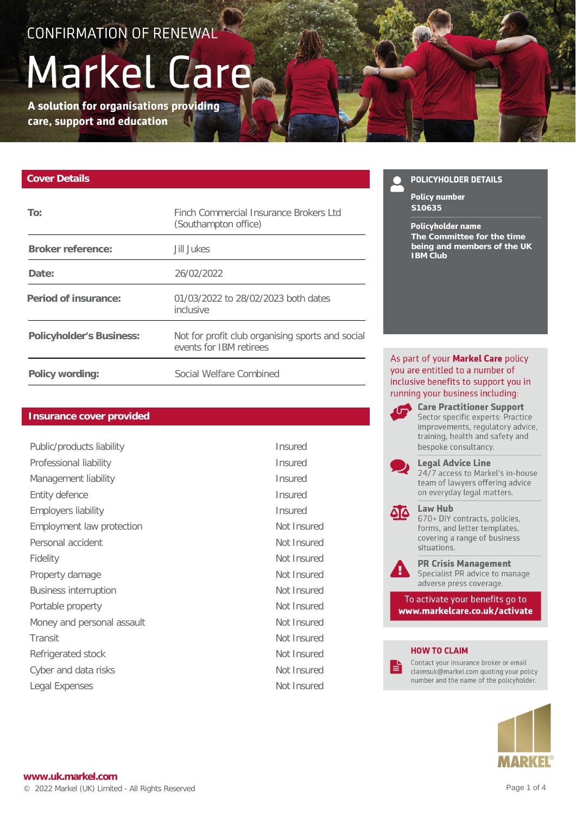## CONFIRMATION OF RENEWAL<sup>1</sup>

# Markel Care

A solution for organisations providing care, support and education

#### **Cover Details**

| To:                      | Finch Commercial Insurance Brokers Ltd<br>(Southampton office)              |
|--------------------------|-----------------------------------------------------------------------------|
| Broker reference:        | Jill Jukes                                                                  |
| Date:                    | 26/02/2022                                                                  |
| Period of insurance:     | 01/03/2022 to 28/02/2023 both dates<br>inclusive                            |
| Policyholder's Business: | Not for profit club organising sports and social<br>events for IBM retirees |
| Policy wording:          | Social Welfare Combined                                                     |

#### **Insurance cover provided**

| Public/products liability    | <b>Insured</b> |
|------------------------------|----------------|
| Professional liability       | <b>Insured</b> |
| Management liability         | <b>Insured</b> |
| Entity defence               | Insured        |
| <b>Employers liability</b>   | Insured        |
| Employment law protection    | Not Insi       |
| Personal accident            | Not Insi       |
| Fidelity                     | Not Insi       |
| Property damage              | Not Insi       |
| <b>Business interruption</b> | Not Insi       |
| Portable property            | Not Insi       |
| Money and personal assault   | Not Insi       |
| Transit                      | Not Insi       |
| Refrigerated stock           | Not Insi       |
| Cyber and data risks         | Not Insi       |
| Legal Expenses               | Not Insi       |

Not Insured Not Insured Not Insured Not Insured Not Insured Not Insured Not Insured Not Insured Not Insured Not Insured Not Insured

#### **POLICYHOLDER DETAILS**

**Policy number S10635**

#### **Policyholder name**

**The Committee for the time being and members of the UK IBM Club**

As part of your Markel Care policy you are entitled to a number of inclusive benefits to support you in running your business including:

> **Care Practitioner Support** Sector specific experts: Practice improvements, regulatory advice, training, health and safety and bespoke consultancy.



**Legal Advice Line** 24/7 access to Markel's in-house team of lawyers offering advice on everyday legal matters.

#### Law Hub

670+ DIY contracts, policies, forms, and letter templates, covering a range of business situations.



80

**PR Crisis Management** Specialist PR advice to manage adverse press coverage.

To activate your benefits go to www.markelcare.co.uk/activate

#### **HOW TO CLAIM**

।≣

Contact your insurance broker or email claimsuk@markel.com quoting your policy number and the name of the policyholder.

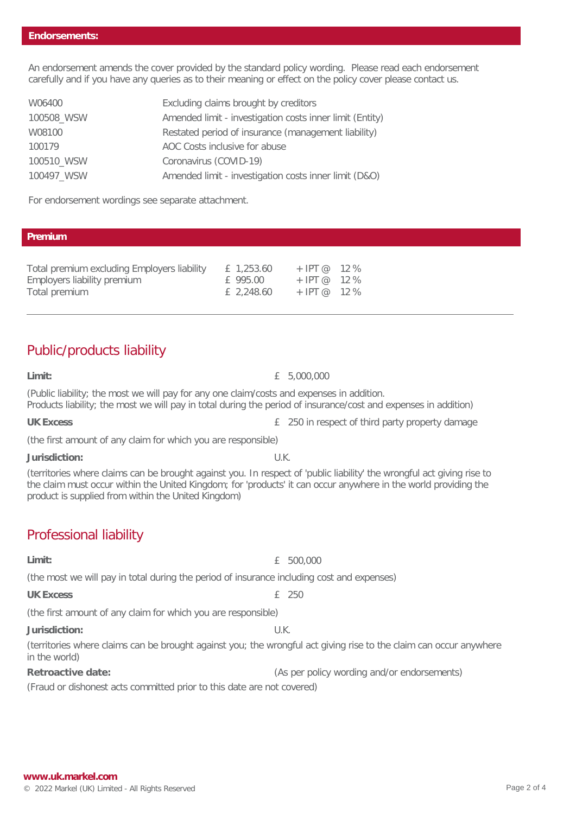An endorsement amends the cover provided by the standard policy wording. Please read each endorsement carefully and if you have any queries as to their meaning or effect on the policy cover please contact us.

| W06400     | Excluding claims brought by creditors                    |
|------------|----------------------------------------------------------|
| 100508_WSW | Amended limit - investigation costs inner limit (Entity) |
| W08100     | Restated period of insurance (management liability)      |
| 100179     | AOC Costs inclusive for abuse                            |
| 100510_WSW | Coronavirus (COVID-19)                                   |
| 100497_WSW | Amended limit - investigation costs inner limit (D&O)    |

For endorsement wordings see separate attachment.

#### **Premium**

| Total premium excluding Employers liability | £ 1,253.60 | $+$ IPT @ 12 % |  |
|---------------------------------------------|------------|----------------|--|
| Employers liability premium                 | f 995.00   | + IPT @ 12 %   |  |
| Total premium                               | £ 2,248.60 | $+$ IPT @ 12 % |  |

## Public/products liability

**Limit:** £ 5,000,000

(Public liability; the most we will pay for any one claim/costs and expenses in addition. Products liability; the most we will pay in total during the period of insurance/cost and expenses in addition)

UK Excess **E** 250 in respect of third party property damage

(the first amount of any claim for which you are responsible)

**Jurisdiction:** U.K.

(territories where claims can be brought against you. In respect of 'public liability' the wrongful act giving rise to the claim must occur within the United Kingdom; for 'products' it can occur anywhere in the world providing the product is supplied from within the United Kingdom)

## Professional liability

**Limit:** £ 500,000

(the most we will pay in total during the period of insurance including cost and expenses)

UK Excess **a**  $\overline{250}$ 

(the first amount of any claim for which you are responsible)

**Jurisdiction:** U.K.

(territories where claims can be brought against you; the wrongful act giving rise to the claim can occur anywhere in the world)

**Retroactive date:** (As per policy wording and/or endorsements)

(Fraud or dishonest acts committed prior to this date are not covered)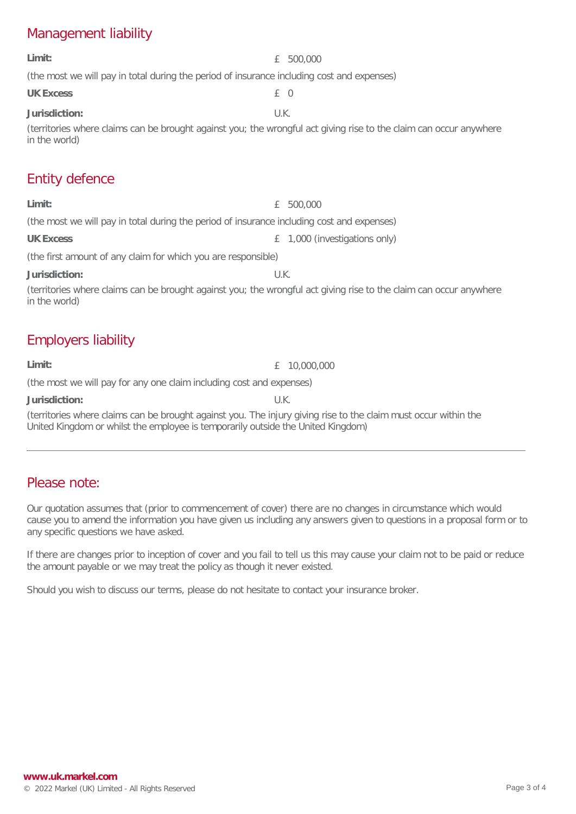## Management liability

| Limit:                                                                                                                              | 500,000<br>£                     |  |  |
|-------------------------------------------------------------------------------------------------------------------------------------|----------------------------------|--|--|
| (the most we will pay in total during the period of insurance including cost and expenses)                                          |                                  |  |  |
| <b>UK Excess</b>                                                                                                                    | £ 0                              |  |  |
| Jurisdiction:                                                                                                                       | U.K.                             |  |  |
| (territories where claims can be brought against you; the wrongful act giving rise to the claim can occur anywhere<br>in the world) |                                  |  |  |
| <b>Entity defence</b>                                                                                                               |                                  |  |  |
| Limit:                                                                                                                              | 500,000<br>£                     |  |  |
| (the most we will pay in total during the period of insurance including cost and expenses)                                          |                                  |  |  |
| <b>UK Excess</b>                                                                                                                    | 1,000 (investigations only)<br>£ |  |  |
| (the first amount of any claim for which you are responsible)                                                                       |                                  |  |  |
| Jurisdiction:                                                                                                                       | U.K.                             |  |  |
| (territories where claims can be brought against you; the wrongful act giving rise to the claim can occur anywhere<br>in the world) |                                  |  |  |
| <b>Employers liability</b>                                                                                                          |                                  |  |  |

**Limit:** £ 10,000,000

(the most we will pay for any one claim including cost and expenses)

**Jurisdiction:** U.K.

(territories where claims can be brought against you. The injury giving rise to the claim must occur within the United Kingdom or whilst the employee is temporarily outside the United Kingdom)

## Please note:

Our quotation assumes that (prior to commencement of cover) there are no changes in circumstance which would cause you to amend the information you have given us including any answers given to questions in a proposal form or to any specific questions we have asked.

If there are changes prior to inception of cover and you fail to tell us this may cause your claim not to be paid or reduce the amount payable or we may treat the policy as though it never existed.

Should you wish to discuss our terms, please do not hesitate to contact your insurance broker.